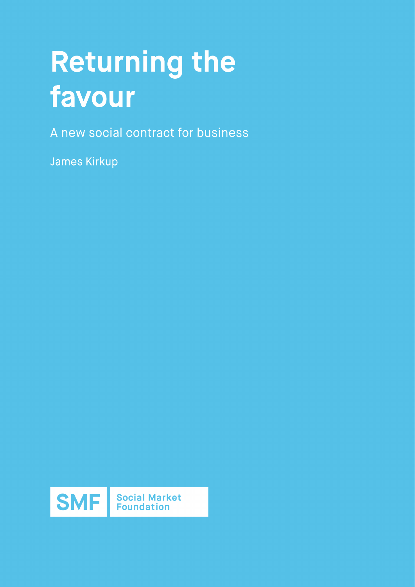# **Returning the favour**

A new social contract for business

James Kirkup

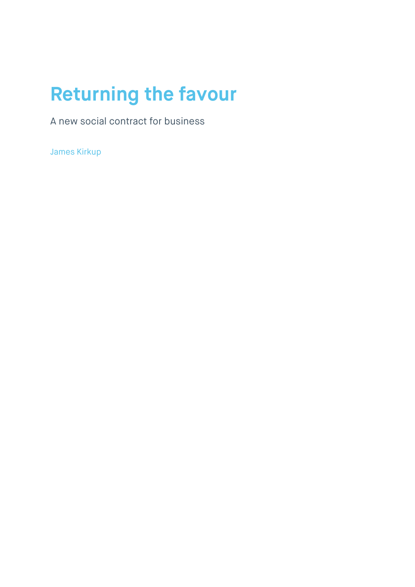## **Returning the favour**

A new social contract for business

James Kirkup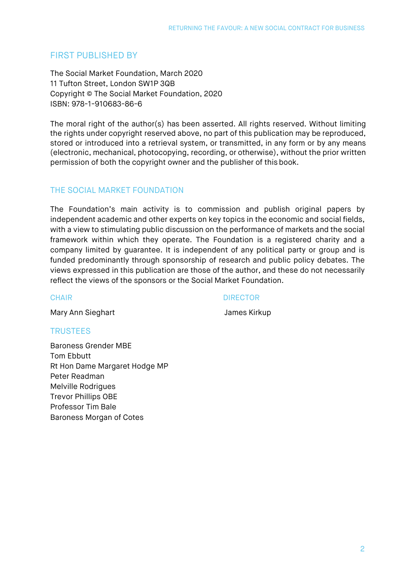#### FIRST PUBLISHED BY

The Social Market Foundation, March 2020 11 Tufton Street, London SW1P 3QB Copyright © The Social Market Foundation, 2020 ISBN: 978-1-910683-86-6

The moral right of the author(s) has been asserted. All rights reserved. Without limiting the rights under copyright reserved above, no part of this publication may be reproduced, stored or introduced into a retrieval system, or transmitted, in any form or by any means (electronic, mechanical, photocopying, recording, or otherwise), without the prior written permission of both the copyright owner and the publisher of this book.

#### THE SOCIAL MARKET FOUNDATION

The Foundation's main activity is to commission and publish original papers by independent academic and other experts on key topics in the economic and social fields, with a view to stimulating public discussion on the performance of markets and the social framework within which they operate. The Foundation is a registered charity and a company limited by guarantee. It is independent of any political party or group and is funded predominantly through sponsorship of research and public policy debates. The views expressed in this publication are those of the author, and these do not necessarily reflect the views of the sponsors or the Social Market Foundation.

#### CHAIR DIRECTOR

Mary Ann Sieghart **Mary Ann Sieghart Communist Communist Communist Communist Communist Communist Communist Communist Communist Communist Communist Communist Communist Communist Communist Communist Communist Communist Commu** 

#### **TRUSTEES**

Baroness Grender MBE Tom Ebbutt Rt Hon Dame Margaret Hodge MP Peter Readman Melville Rodrigues Trevor Phillips OBE Professor Tim Bale Baroness Morgan of Cotes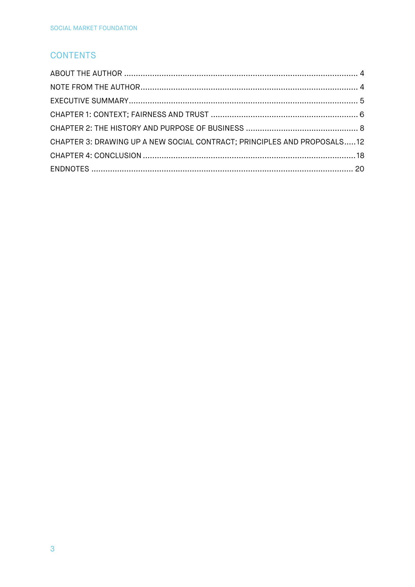#### **CONTENTS**

| CHAPTER 3: DRAWING UP A NEW SOCIAL CONTRACT; PRINCIPLES AND PROPOSALS12 |  |
|-------------------------------------------------------------------------|--|
|                                                                         |  |
|                                                                         |  |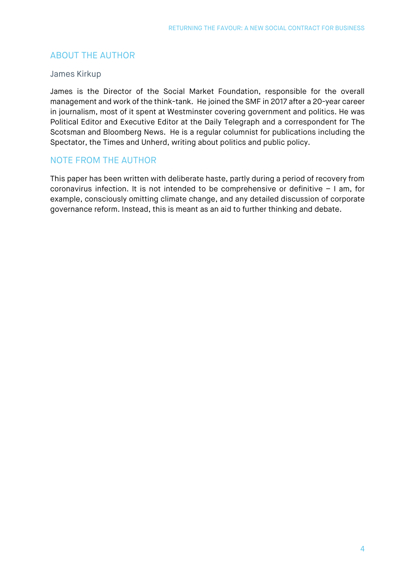#### <span id="page-4-0"></span>ABOUT THE AUTHOR

#### James Kirkup

James is the Director of the Social Market Foundation, responsible for the overall management and work of the think-tank. He joined the SMF in 2017 after a 20-year career in journalism, most of it spent at Westminster covering government and politics. He was Political Editor and Executive Editor at the Daily Telegraph and a correspondent for The Scotsman and Bloomberg News. He is a regular columnist for publications including the Spectator, the Times and Unherd, writing about politics and public policy.

#### <span id="page-4-1"></span>NOTE FROM THE AUTHOR

This paper has been written with deliberate haste, partly during a period of recovery from coronavirus infection. It is not intended to be comprehensive or definitive – I am, for example, consciously omitting climate change, and any detailed discussion of corporate governance reform. Instead, this is meant as an aid to further thinking and debate.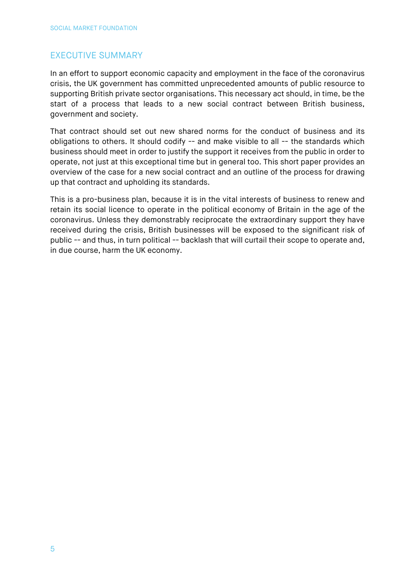#### <span id="page-5-0"></span>EXECUTIVE SUMMARY

In an effort to support economic capacity and employment in the face of the coronavirus crisis, the UK government has committed unprecedented amounts of public resource to supporting British private sector organisations. This necessary act should, in time, be the start of a process that leads to a new social contract between British business, government and society.

That contract should set out new shared norms for the conduct of business and its obligations to others. It should codify -- and make visible to all -- the standards which business should meet in order to justify the support it receives from the public in order to operate, not just at this exceptional time but in general too. This short paper provides an overview of the case for a new social contract and an outline of the process for drawing up that contract and upholding its standards.

This is a pro-business plan, because it is in the vital interests of business to renew and retain its social licence to operate in the political economy of Britain in the age of the coronavirus. Unless they demonstrably reciprocate the extraordinary support they have received during the crisis, British businesses will be exposed to the significant risk of public -- and thus, in turn political -- backlash that will curtail their scope to operate and, in due course, harm the UK economy.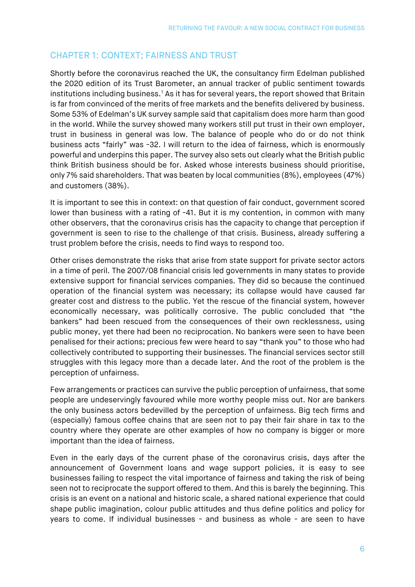### <span id="page-6-0"></span>CHAPTER 1: CONTEXT; FAIRNESS AND TRUST

Shortly before the coronavirus reached the UK, the consultancy firm Edelman published the 2020 edition of its Trust Barometer, an annual tracker of public sentiment towards institutions including business.<sup>[1](#page-20-1)</sup> As it has for several years, the report showed that Britain is far from convinced of the merits of free markets and the benefits delivered by business. Some 53% of Edelman's UK survey sample said that capitalism does more harm than good in the world. While the survey showed many workers still put trust in their own employer, trust in business in general was low. The balance of people who do or do not think business acts "fairly" was -32. I will return to the idea of fairness, which is enormously powerful and underpins this paper. The survey also sets out clearly what the British public think British business should be for. Asked whose interests business should prioritise, only 7% said shareholders. That was beaten by local communities (8%), employees (47%) and customers (38%).

It is important to see this in context: on that question of fair conduct, government scored lower than business with a rating of -41. But it is my contention, in common with many other observers, that the coronavirus crisis has the capacity to change that perception if government is seen to rise to the challenge of that crisis. Business, already suffering a trust problem before the crisis, needs to find ways to respond too.

Other crises demonstrate the risks that arise from state support for private sector actors in a time of peril. The 2007/08 financial crisis led governments in many states to provide extensive support for financial services companies. They did so because the continued operation of the financial system was necessary; its collapse would have caused far greater cost and distress to the public. Yet the rescue of the financial system, however economically necessary, was politically corrosive. The public concluded that "the bankers" had been rescued from the consequences of their own recklessness, using public money, yet there had been no reciprocation. No bankers were seen to have been penalised for their actions; precious few were heard to say "thank you" to those who had collectively contributed to supporting their businesses. The financial services sector still struggles with this legacy more than a decade later. And the root of the problem is the perception of unfairness.

Few arrangements or practices can survive the public perception of unfairness, that some people are undeservingly favoured while more worthy people miss out. Nor are bankers the only business actors bedevilled by the perception of unfairness. Big tech firms and (especially) famous coffee chains that are seen not to pay their fair share in tax to the country where they operate are other examples of how no company is bigger or more important than the idea of fairness.

Even in the early days of the current phase of the coronavirus crisis, days after the announcement of Government loans and wage support policies, it is easy to see businesses failing to respect the vital importance of fairness and taking the risk of being seen not to reciprocate the support offered to them. And this is barely the beginning. This crisis is an event on a national and historic scale, a shared national experience that could shape public imagination, colour public attitudes and thus define politics and policy for years to come. If individual businesses - and business as whole - are seen to have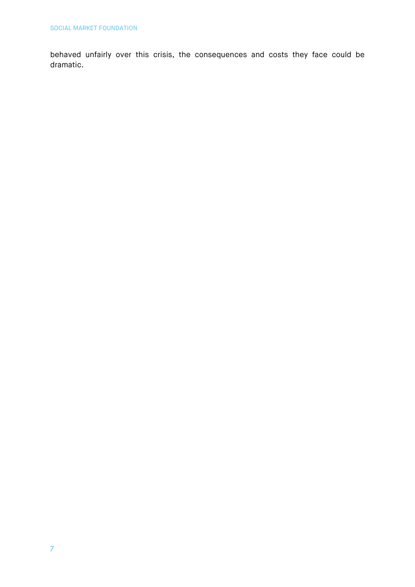behaved unfairly over this crisis, the consequences and costs they face could be dramatic.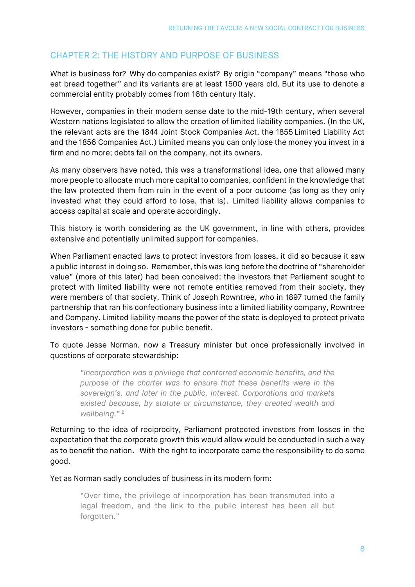#### <span id="page-8-0"></span>CHAPTER 2: THE HISTORY AND PURPOSE OF BUSINESS

What is business for? Why do companies exist? By origin "company" means "those who eat bread together" and its variants are at least 1500 years old. But its use to denote a commercial entity probably comes from 16th century Italy.

However, companies in their modern sense date to the mid-19th century, when several Western nations legislated to allow the creation of limited liability companies. (In the UK, the relevant acts are the 1844 Joint Stock Companies Act, the 1855 Limited Liability Act and the 1856 Companies Act.) Limited means you can only lose the money you invest in a firm and no more; debts fall on the company, not its owners.

As many observers have noted, this was a transformational idea, one that allowed many more people to allocate much more capital to companies, confident in the knowledge that the law protected them from ruin in the event of a poor outcome (as long as they only invested what they could afford to lose, that is). Limited liability allows companies to access capital at scale and operate accordingly.

This history is worth considering as the UK government, in line with others, provides extensive and potentially unlimited support for companies.

When Parliament enacted laws to protect investors from losses, it did so because it saw a public interest in doing so. Remember, this was long before the doctrine of "shareholder value" (more of this later) had been conceived: the investors that Parliament sought to protect with limited liability were not remote entities removed from their society, they were members of that society. Think of Joseph Rowntree, who in 1897 turned the family partnership that ran his confectionary business into a limited liability company, Rowntree and Company. Limited liability means the power of the state is deployed to protect private investors - something done for public benefit.

To quote Jesse Norman, now a Treasury minister but once professionally involved in questions of corporate stewardship:  

*"Incorporation was a privilege that conferred economic benefits, and the purpose of the charter was to ensure that these benefits were in the sovereign's, and later in the public, interest. Corporations and markets existed because, by statute or circumstance, they created wealth and wellbeing."* [2](#page-20-2)

Returning to the idea of reciprocity, Parliament protected investors from losses in the expectation that the corporate growth this would allow would be conducted in such a way as to benefit the nation. With the right to incorporate came the responsibility to do some good.

Yet as Norman sadly concludes of business in its modern form:

"Over time, the privilege of incorporation has been transmuted into a legal freedom, and the link to the public interest has been all but forgotten."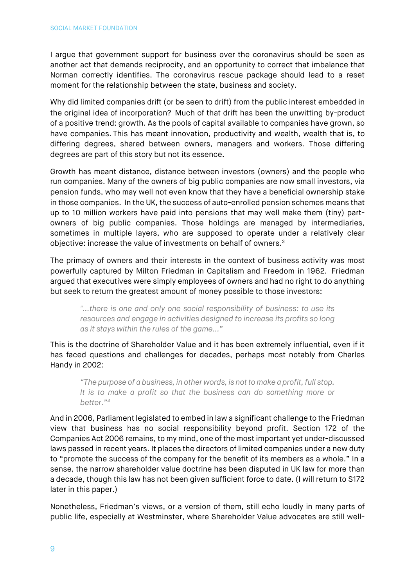I argue that government support for business over the coronavirus should be seen as another act that demands reciprocity, and an opportunity to correct that imbalance that Norman correctly identifies. The coronavirus rescue package should lead to a reset moment for the relationship between the state, business and society.

Why did limited companies drift (or be seen to drift) from the public interest embedded in the original idea of incorporation? Much of that drift has been the unwitting by-product of a positive trend: growth. As the pools of capital available to companies have grown, so have companies. This has meant innovation, productivity and wealth, wealth that is, to differing degrees, shared between owners, managers and workers. Those differing degrees are part of this story but not its essence.

Growth has meant distance, distance between investors (owners) and the people who run companies. Many of the owners of big public companies are now small investors, via pension funds, who may well not even know that they have a beneficial ownership stake in those companies. In the UK, the success of auto-enrolled pension schemes means that up to 10 million workers have paid into pensions that may well make them (tiny) partowners of big public companies. Those holdings are managed by intermediaries, sometimes in multiple layers, who are supposed to operate under a relatively clear objective: increase the value of investments on behalf of owners.[3](#page-20-3)

The primacy of owners and their interests in the context of business activity was most powerfully captured by Milton Friedman in Capitalism and Freedom in 1962. Friedman argued that executives were simply employees of owners and had no right to do anything but seek to return the greatest amount of money possible to those investors:

*"...there is one and only one social responsibility of business: to use its resources and engage in activities designed to increase its profits so long as it stays within the rules of the game..."* 

This is the doctrine of Shareholder Value and it has been extremely influential, even if it has faced questions and challenges for decades, perhaps most notably from Charles Handy in 2002:

*"The purpose of a business, in other words, is not to make a profit, full stop. It is to make a profit so that the business can do something more or better."[4](#page-20-4)*

And in 2006, Parliament legislated to embed in law a significant challenge to the Friedman view that business has no social responsibility beyond profit. Section 172 of the Companies Act 2006 remains, to my mind, one of the most important yet under-discussed laws passed in recent years. It places the directors of limited companies under a new duty to "promote the success of the company for the benefit of its members as a whole." In a sense, the narrow shareholder value doctrine has been disputed in UK law for more than a decade, though this law has not been given sufficient force to date. (I will return to S172 later in this paper.)

Nonetheless, Friedman's views, or a version of them, still echo loudly in many parts of public life, especially at Westminster, where Shareholder Value advocates are still well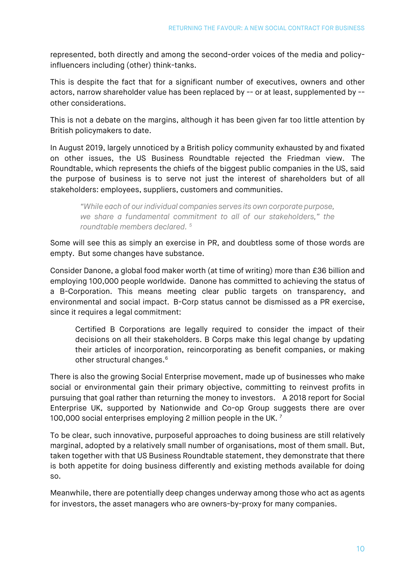represented, both directly and among the second-order voices of the media and policyinfluencers including (other) think-tanks.

This is despite the fact that for a significant number of executives, owners and other actors, narrow shareholder value has been replaced by -- or at least, supplemented by - other considerations.

This is not a debate on the margins, although it has been given far too little attention by British policymakers to date.  

In August 2019, largely unnoticed by a British policy community exhausted by and fixated on other issues, the US Business Roundtable rejected the Friedman view. The Roundtable, which represents the chiefs of the biggest public companies in the US, said the purpose of business is to serve not just the interest of shareholders but of all stakeholders: employees, suppliers, customers and communities.

*"While each of our individual companies serves its own corporate purpose, we share a fundamental commitment to all of our stakeholders," the roundtable members declared. [5](#page-20-5)*

Some will see this as simply an exercise in PR, and doubtless some of those words are empty. But some changes have substance.

Consider Danone, a global food maker worth (at time of writing) more than £36 billion and employing 100,000 people worldwide. Danone has committed to achieving the status of a B-Corporation. This means meeting clear public targets on transparency, and environmental and social impact. B-Corp status cannot be dismissed as a PR exercise, since it requires a legal commitment:

Certified B Corporations are legally required to consider the impact of their decisions on all their stakeholders. B Corps make this legal change by updating their articles of incorporation, reincorporating as benefit companies, or making other structural changes.<sup>[6](#page-20-6)</sup>

There is also the growing Social Enterprise movement, made up of businesses who make social or environmental gain their primary objective, committing to reinvest profits in pursuing that goal rather than returning the money to investors. A 2018 report for Social Enterprise UK, supported by Nationwide and Co-op Group suggests there are over 100,000 social enterprises employing 2 million people in the UK.<sup>[7](#page-20-7)</sup>

To be clear, such innovative, purposeful approaches to doing business are still relatively marginal, adopted by a relatively small number of organisations, most of them small. But, taken together with that US Business Roundtable statement, they demonstrate that there is both appetite for doing business differently and existing methods available for doing so.

Meanwhile, there are potentially deep changes underway among those who act as agents for investors, the asset managers who are owners-by-proxy for many companies.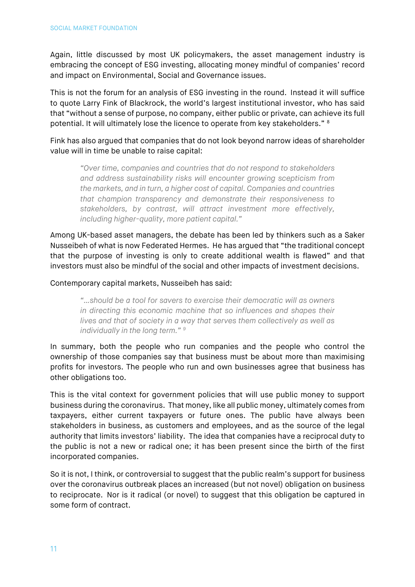Again, little discussed by most UK policymakers, the asset management industry is embracing the concept of ESG investing, allocating money mindful of companies' record and impact on Environmental, Social and Governance issues.

This is not the forum for an analysis of ESG investing in the round. Instead it will suffice to quote Larry Fink of Blackrock, the world's largest institutional investor, who has said that "without a sense of purpose, no company, either public or private, can achieve its full potential. It will ultimately lose the licence to operate from key stakeholders." [8](#page-20-8)

Fink has also argued that companies that do not look beyond narrow ideas of shareholder value will in time be unable to raise capital:

*"Over time, companies and countries that do not respond to stakeholders and address sustainability risks will encounter growing scepticism from the markets, and in turn, a higher cost of capital. Companies and countries that champion transparency and demonstrate their responsiveness to stakeholders, by contrast, will attract investment more effectively, including higher-quality, more patient capital."* 

Among UK-based asset managers, the debate has been led by thinkers such as a Saker Nusseibeh of what is now Federated Hermes. He has argued that "the traditional concept that the purpose of investing is only to create additional wealth is flawed" and that investors must also be mindful of the social and other impacts of investment decisions.

#### Contemporary capital markets, Nusseibeh has said:

*"…should be a tool for savers to exercise their democratic will as owners in directing this economic machine that so influences and shapes their lives and that of society in a way that serves them collectively as well as individually in the long term." [9](#page-20-9)*

In summary, both the people who run companies and the people who control the ownership of those companies say that business must be about more than maximising profits for investors. The people who run and own businesses agree that business has other obligations too.

This is the vital context for government policies that will use public money to support business during the coronavirus. That money, like all public money, ultimately comes from taxpayers, either current taxpayers or future ones. The public have always been stakeholders in business, as customers and employees, and as the source of the legal authority that limits investors' liability. The idea that companies have a reciprocal duty to the public is not a new or radical one; it has been present since the birth of the first incorporated companies.

So it is not, I think, or controversial to suggest that the public realm's support for business over the coronavirus outbreak places an increased (but not novel) obligation on business to reciprocate. Nor is it radical (or novel) to suggest that this obligation be captured in some form of contract.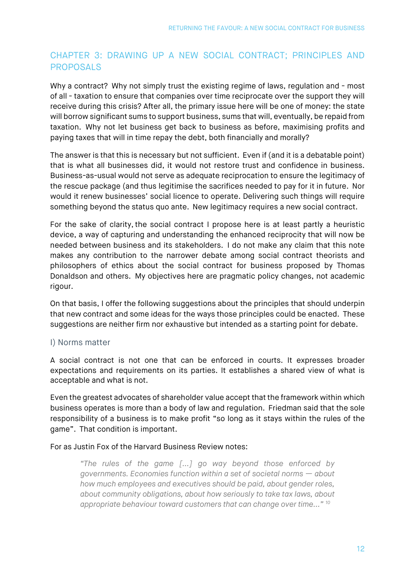#### <span id="page-12-0"></span>CHAPTER 3: DRAWING UP A NEW SOCIAL CONTRACT; PRINCIPLES AND PROPOSALS

Why a contract? Why not simply trust the existing regime of laws, regulation and - most of all - taxation to ensure that companies over time reciprocate over the support they will receive during this crisis? After all, the primary issue here will be one of money: the state will borrow significant sums to support business, sums that will, eventually, be repaid from taxation. Why not let business get back to business as before, maximising profits and paying taxes that will in time repay the debt, both financially and morally?

The answer is that this is necessary but not sufficient. Even if (and it is a debatable point) that is what all businesses did, it would not restore trust and confidence in business. Business-as-usual would not serve as adequate reciprocation to ensure the legitimacy of the rescue package (and thus legitimise the sacrifices needed to pay for it in future. Nor would it renew businesses' social licence to operate. Delivering such things will require something beyond the status quo ante. New legitimacy requires a new social contract.

For the sake of clarity, the social contract I propose here is at least partly a heuristic device, a way of capturing and understanding the enhanced reciprocity that will now be needed between business and its stakeholders. I do not make any claim that this note makes any contribution to the narrower debate among social contract theorists and philosophers of ethics about the social contract for business proposed by Thomas Donaldson and others. My objectives here are pragmatic policy changes, not academic rigour.

On that basis, I offer the following suggestions about the principles that should underpin that new contract and some ideas for the ways those principles could be enacted. These suggestions are neither firm nor exhaustive but intended as a starting point for debate.

#### I) Norms matter

A social contract is not one that can be enforced in courts. It expresses broader expectations and requirements on its parties. It establishes a shared view of what is acceptable and what is not.

Even the greatest advocates of shareholder value accept that the framework within which business operates is more than a body of law and regulation. Friedman said that the sole responsibility of a business is to make profit "so long as it stays within the rules of the game". That condition is important.  

For as Justin Fox of the Harvard Business Review notes:

*"The rules of the game [...] go way beyond those enforced by governments. Economies function within a set of societal norms — about how much employees and executives should be paid, about gender roles, about community obligations, about how seriously to take tax laws, about appropriate behaviour toward customers that can change over time..." [10](#page-20-10)*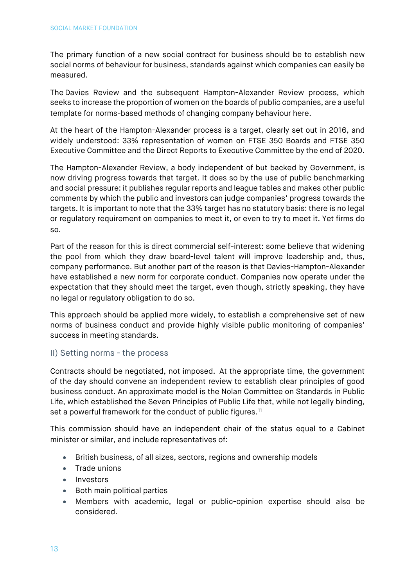The primary function of a new social contract for business should be to establish new social norms of behaviour for business, standards against which companies can easily be measured.

The Davies Review and the subsequent Hampton-Alexander Review process, which seeks to increase the proportion of women on the boards of public companies, are a useful template for norms-based methods of changing company behaviour here.

At the heart of the Hampton-Alexander process is a target, clearly set out in 2016, and widely understood: 33% representation of women on FTSE 350 Boards and FTSE 350 Executive Committee and the Direct Reports to Executive Committee by the end of 2020.

The Hampton-Alexander Review, a body independent of but backed by Government, is now driving progress towards that target. It does so by the use of public benchmarking and social pressure: it publishes regular reports and league tables and makes other public comments by which the public and investors can judge companies' progress towards the targets. It is important to note that the 33% target has no statutory basis: there is no legal or regulatory requirement on companies to meet it, or even to try to meet it. Yet firms do so.

Part of the reason for this is direct commercial self-interest: some believe that widening the pool from which they draw board-level talent will improve leadership and, thus, company performance. But another part of the reason is that Davies-Hampton-Alexander have established a new norm for corporate conduct. Companies now operate under the expectation that they should meet the target, even though, strictly speaking, they have no legal or regulatory obligation to do so.

This approach should be applied more widely, to establish a comprehensive set of new norms of business conduct and provide highly visible public monitoring of companies' success in meeting standards.

#### II) Setting norms - the process

Contracts should be negotiated, not imposed. At the appropriate time, the government of the day should convene an independent review to establish clear principles of good business conduct. An approximate model is the Nolan Committee on Standards in Public Life, which established the Seven Principles of Public Life that, while not legally binding, set a powerful framework for the conduct of public figures.<sup>[11](#page-20-11)</sup>

This commission should have an independent chair of the status equal to a Cabinet minister or similar, and include representatives of:

- British business, of all sizes, sectors, regions and ownership models
- Trade unions
- Investors
- Both main political parties
- Members with academic, legal or public-opinion expertise should also be considered.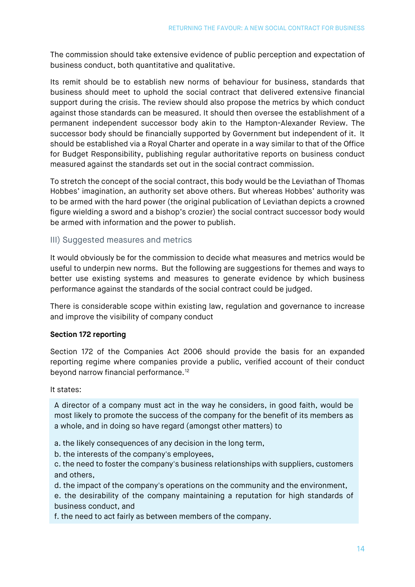The commission should take extensive evidence of public perception and expectation of business conduct, both quantitative and qualitative.

Its remit should be to establish new norms of behaviour for business, standards that business should meet to uphold the social contract that delivered extensive financial support during the crisis. The review should also propose the metrics by which conduct against those standards can be measured. It should then oversee the establishment of a permanent independent successor body akin to the Hampton-Alexander Review. The successor body should be financially supported by Government but independent of it. It should be established via a Royal Charter and operate in a way similar to that of the Office for Budget Responsibility, publishing regular authoritative reports on business conduct measured against the standards set out in the social contract commission.

To stretch the concept of the social contract, this body would be the Leviathan of Thomas Hobbes' imagination, an authority set above others. But whereas Hobbes' authority was to be armed with the hard power (the original publication of Leviathan depicts a crowned figure wielding a sword and a bishop's crozier) the social contract successor body would be armed with information and the power to publish.

#### III) Suggested measures and metrics

It would obviously be for the commission to decide what measures and metrics would be useful to underpin new norms. But the following are suggestions for themes and ways to better use existing systems and measures to generate evidence by which business performance against the standards of the social contract could be judged.

There is considerable scope within existing law, regulation and governance to increase and improve the visibility of company conduct

#### **Section 172 reporting**

Section 172 of the Companies Act 2006 should provide the basis for an expanded reporting regime where companies provide a public, verified account of their conduct beyond narrow financial performance.<sup>[12](#page-20-12)</sup>

#### It states:

A director of a company must act in the way he considers, in good faith, would be most likely to promote the success of the company for the benefit of its members as a whole, and in doing so have regard (amongst other matters) to

a. the likely consequences of any decision in the long term,

b. the interests of the company's employees,

c. the need to foster the company's business relationships with suppliers, customers and others,

d. the impact of the company's operations on the community and the environment,

e. the desirability of the company maintaining a reputation for high standards of business conduct, and

f. the need to act fairly as between members of the company.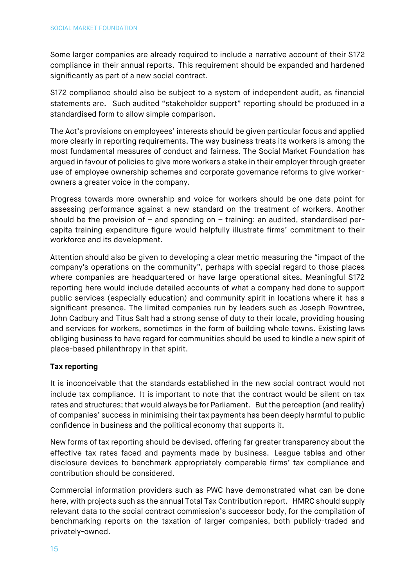Some larger companies are already required to include a narrative account of their S172 compliance in their annual reports. This requirement should be expanded and hardened significantly as part of a new social contract.  

S172 compliance should also be subject to a system of independent audit, as financial statements are. Such audited "stakeholder support" reporting should be produced in a standardised form to allow simple comparison.

The Act's provisions on employees' interests should be given particular focus and applied more clearly in reporting requirements. The way business treats its workers is among the most fundamental measures of conduct and fairness. The Social Market Foundation has argued in favour of policies to give more workers a stake in their employer through greater use of employee ownership schemes and corporate governance reforms to give workerowners a greater voice in the company.

Progress towards more ownership and voice for workers should be one data point for assessing performance against a new standard on the treatment of workers. Another should be the provision of  $-$  and spending on  $-$  training: an audited, standardised percapita training expenditure figure would helpfully illustrate firms' commitment to their workforce and its development.

Attention should also be given to developing a clear metric measuring the "impact of the company's operations on the community", perhaps with special regard to those places where companies are headquartered or have large operational sites. Meaningful S172 reporting here would include detailed accounts of what a company had done to support public services (especially education) and community spirit in locations where it has a significant presence. The limited companies run by leaders such as Joseph Rowntree, John Cadbury and Titus Salt had a strong sense of duty to their locale, providing housing and services for workers, sometimes in the form of building whole towns. Existing laws obliging business to have regard for communities should be used to kindle a new spirit of place-based philanthropy in that spirit.

#### **Tax reporting**

It is inconceivable that the standards established in the new social contract would not include tax compliance. It is important to note that the contract would be silent on tax rates and structures; that would always be for Parliament. But the perception (and reality) of companies' success in minimising their tax payments has been deeply harmful to public confidence in business and the political economy that supports it.

New forms of tax reporting should be devised, offering far greater transparency about the effective tax rates faced and payments made by business. League tables and other disclosure devices to benchmark appropriately comparable firms' tax compliance and contribution should be considered.

Commercial information providers such as PWC have demonstrated what can be done here, with projects such as the annual Total Tax Contribution report. HMRC should supply relevant data to the social contract commission's successor body, for the compilation of benchmarking reports on the taxation of larger companies, both publicly-traded and privately-owned.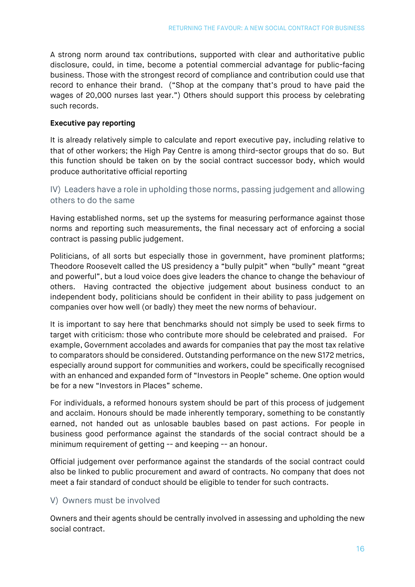A strong norm around tax contributions, supported with clear and authoritative public disclosure, could, in time, become a potential commercial advantage for public-facing business. Those with the strongest record of compliance and contribution could use that record to enhance their brand. ("Shop at the company that's proud to have paid the wages of 20,000 nurses last year.") Others should support this process by celebrating such records.

#### **Executive pay reporting**

It is already relatively simple to calculate and report executive pay, including relative to that of other workers; the High Pay Centre is among third-sector groups that do so. But this function should be taken on by the social contract successor body, which would produce authoritative official reporting

#### IV) Leaders have a role in upholding those norms, passing judgement and allowing others to do the same

Having established norms, set up the systems for measuring performance against those norms and reporting such measurements, the final necessary act of enforcing a social contract is passing public judgement.  

Politicians, of all sorts but especially those in government, have prominent platforms; Theodore Roosevelt called the US presidency a "bully pulpit" when "bully" meant "great and powerful", but a loud voice does give leaders the chance to change the behaviour of others. Having contracted the objective judgement about business conduct to an independent body, politicians should be confident in their ability to pass judgement on companies over how well (or badly) they meet the new norms of behaviour.

It is important to say here that benchmarks should not simply be used to seek firms to target with criticism: those who contribute more should be celebrated and praised. For example, Government accolades and awards for companies that pay the most tax relative to comparators should be considered. Outstanding performance on the new S172 metrics, especially around support for communities and workers, could be specifically recognised with an enhanced and expanded form of "Investors in People" scheme. One option would be for a new "Investors in Places" scheme.

For individuals, a reformed honours system should be part of this process of judgement and acclaim. Honours should be made inherently temporary, something to be constantly earned, not handed out as unlosable baubles based on past actions. For people in business good performance against the standards of the social contract should be a minimum requirement of getting -- and keeping -- an honour.  

Official judgement over performance against the standards of the social contract could also be linked to public procurement and award of contracts. No company that does not meet a fair standard of conduct should be eligible to tender for such contracts.  

#### V) Owners must be involved

Owners and their agents should be centrally involved in assessing and upholding the new social contract.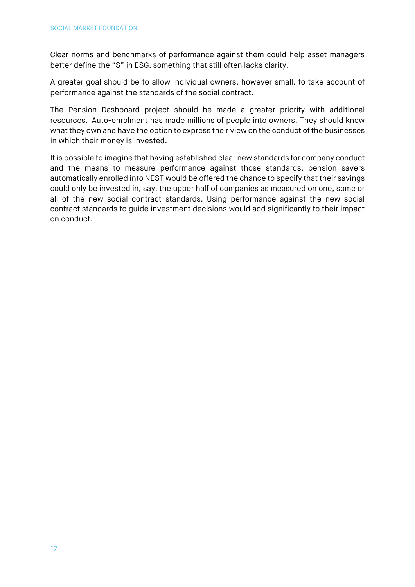Clear norms and benchmarks of performance against them could help asset managers better define the "S" in ESG, something that still often lacks clarity.  

A greater goal should be to allow individual owners, however small, to take account of performance against the standards of the social contract.

The Pension Dashboard project should be made a greater priority with additional resources. Auto-enrolment has made millions of people into owners. They should know what they own and have the option to express their view on the conduct of the businesses in which their money is invested.

It is possible to imagine that having established clear new standards for company conduct and the means to measure performance against those standards, pension savers automatically enrolled into NEST would be offered the chance to specify that their savings could only be invested in, say, the upper half of companies as measured on one, some or all of the new social contract standards. Using performance against the new social contract standards to guide investment decisions would add significantly to their impact on conduct.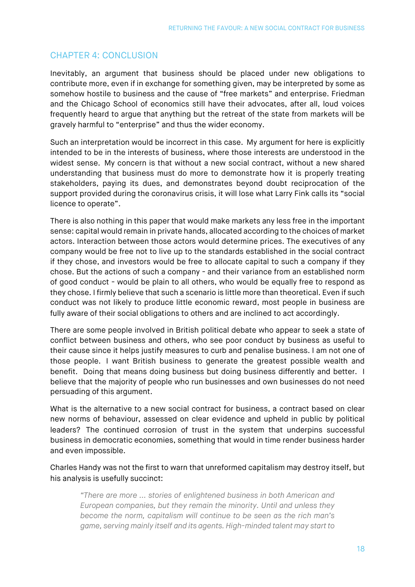#### <span id="page-18-0"></span>CHAPTER 4: CONCLUSION

Inevitably, an argument that business should be placed under new obligations to contribute more, even if in exchange for something given, may be interpreted by some as somehow hostile to business and the cause of "free markets" and enterprise. Friedman and the Chicago School of economics still have their advocates, after all, loud voices frequently heard to argue that anything but the retreat of the state from markets will be gravely harmful to "enterprise" and thus the wider economy.   

Such an interpretation would be incorrect in this case. My argument for here is explicitly intended to be in the interests of business, where those interests are understood in the widest sense. My concern is that without a new social contract, without a new shared understanding that business must do more to demonstrate how it is properly treating stakeholders, paying its dues, and demonstrates beyond doubt reciprocation of the support provided during the coronavirus crisis, it will lose what Larry Fink calls its "social licence to operate".

There is also nothing in this paper that would make markets any less free in the important sense: capital would remain in private hands, allocated according to the choices of market actors. Interaction between those actors would determine prices. The executives of any company would be free not to live up to the standards established in the social contract if they chose, and investors would be free to allocate capital to such a company if they chose. But the actions of such a company - and their variance from an established norm of good conduct - would be plain to all others, who would be equally free to respond as they chose. I firmly believe that such a scenario is little more than theoretical. Even if such conduct was not likely to produce little economic reward, most people in business are fully aware of their social obligations to others and are inclined to act accordingly.

There are some people involved in British political debate who appear to seek a state of conflict between business and others, who see poor conduct by business as useful to their cause since it helps justify measures to curb and penalise business. I am not one of those people. I want British business to generate the greatest possible wealth and benefit. Doing that means doing business but doing business differently and better. I believe that the majority of people who run businesses and own businesses do not need persuading of this argument.

What is the alternative to a new social contract for business, a contract based on clear new norms of behaviour, assessed on clear evidence and upheld in public by political leaders? The continued corrosion of trust in the system that underpins successful business in democratic economies, something that would in time render business harder and even impossible.

Charles Handy was not the first to warn that unreformed capitalism may destroy itself, but his analysis is usefully succinct:

*"There are more ... stories of enlightened business in both American and European companies, but they remain the minority. Until and unless they become the norm, capitalism will continue to be seen as the rich man's game, serving mainly itself and its agents. High-minded talent may start to*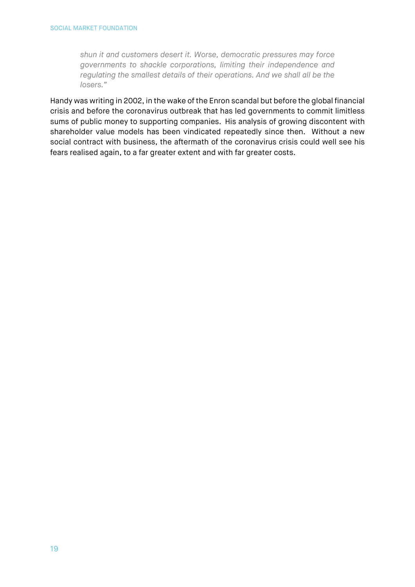*shun it and customers desert it. Worse, democratic pressures may force governments to shackle corporations, limiting their independence and regulating the smallest details of their operations. And we shall all be the losers."* 

Handy was writing in 2002, in the wake of the Enron scandal but before the global financial crisis and before the coronavirus outbreak that has led governments to commit limitless sums of public money to supporting companies. His analysis of growing discontent with shareholder value models has been vindicated repeatedly since then. Without a new social contract with business, the aftermath of the coronavirus crisis could well see his fears realised again, to a far greater extent and with far greater costs.